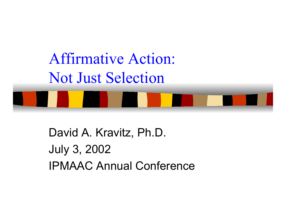

David A. Kravitz, Ph.D. July 3, 2002 IPMAAC Annual Conference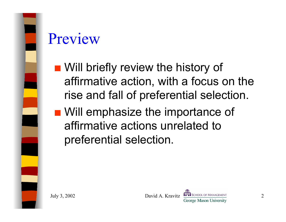

#### Preview

- **No Will briefly review the history of** affirmative action, with a focus on the rise and fall of preferential selection.
- Will emphasize the importance of affirmative actions unrelated to preferential selection.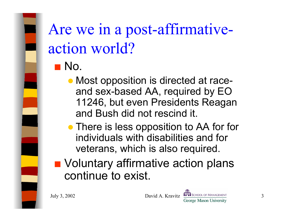## Are we in a post-affirmativeaction world?

- $\blacksquare$  No.
	- Most opposition is directed at raceand sex-based AA, required by EO 11246, but even Presidents Reagan and Bush did not rescind it.
	- There is less opposition to AA for for individuals with disabilities and for veterans, which is also required.
- Voluntary affirmative action plans continue to exist.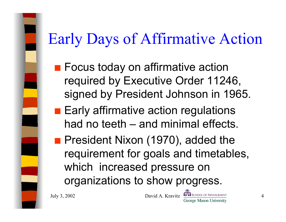## Early Days of Affirmative Action

- $\blacksquare$  Focus today on affirmative action required by Executive Order 11246, signed by President Johnson in 1965.
- $\blacksquare$  Early affirmative action regulations had no teeth – and minimal effects.
- **President Nixon (1970), added the** requirement for goals and timetables, which increased pressure on organizations to show progress.

July 3, 2002 David A. Kravitz David A. Kravitz George Mason University

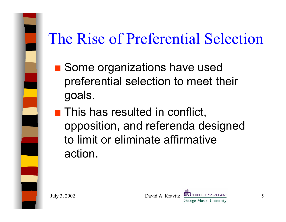# The Rise of Preferential Selection

- Some organizations have used preferential selection to meet their goals.
- $\blacksquare$  This has resulted in conflict, opposition, and referenda designed to limit or eliminate affirmative action.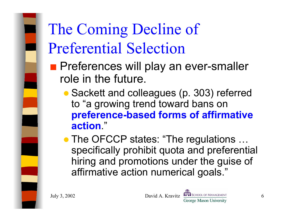# The Coming Decline of Preferential Selection

- **Preferences will play an ever-smaller** role in the future.
	- Sackett and colleagues (p. 303) referred to "a growing trend toward bans on **preference-based forms of affirmative action**."
	- The OFCCP states: "The regulations ... specifically prohibit quota and preferential hiring and promotions under the guise of affirmative action numerical goals."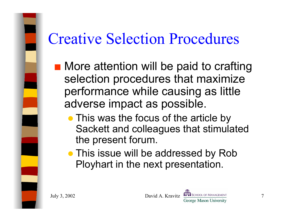#### Creative Selection Procedures

- **Nore attention will be paid to crafting** selection procedures that maximize performance while causing as little adverse impact as possible.
	- This was the focus of the article by Sackett and colleagues that stimulated the present forum.
	- This issue will be addressed by Rob Ployhart in the next presentation.

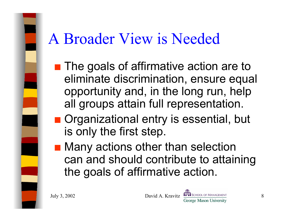#### A Broader View is Needed

- $\blacksquare$  The goals of affirmative action are to eliminate discrimination, ensure equal opportunity and, in the long run, help all groups attain full representation.
- Organizational entry is essential, but is only the first step.
- $\blacksquare$  Many actions other than selection can and should contribute to attaining the goals of affirmative action.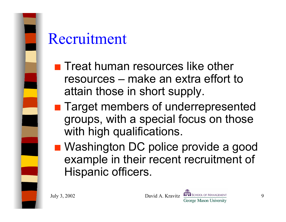

#### Recruitment

- $\blacksquare$  Treat human resources like other resources –make an extra effort to attain those in short supply.
- **Target members of underrepresented** groups, with a special focus on those with high qualifications.
- Washington DC police provide a good example in their recent recruitment of Hispanic officers.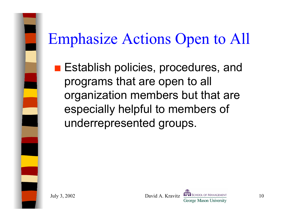# Emphasize Actions Open to All

**Establish policies, procedures, and** programs that are open to all organization members but that are especially helpful to members of underrepresented groups.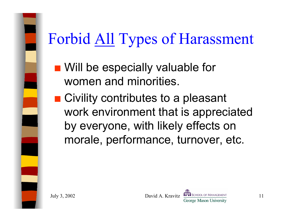

**No. 20 Will be especially valuable for** women and minorities.

 $\blacksquare$  Civility contributes to a pleasant work environment that is appreciated by everyone, with likely effects on morale, performance, turnover, etc.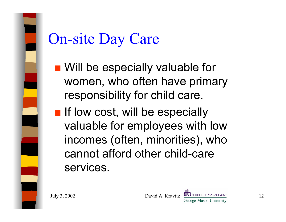

#### On-site Day Care

- **No. 20 Will be especially valuable for** women, who often have primary responsibility for child care.
- **If low cost, will be especially** valuable for employees with low incomes (often, minorities), who cannot afford other child-care services.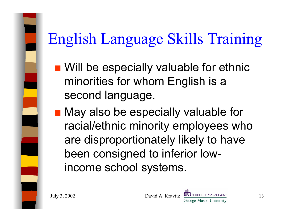# English Language Skills Training

- Will be especially valuable for ethnic minorities for whom English is a second language.
- May also be especially valuable for racial/ethnic minority employees who are disproportionately likely to have been consigned to inferior lowincome school systems.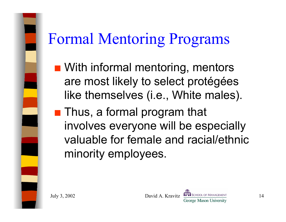### Formal Mentoring Programs

- **N** With informal mentoring, mentors are most likely to select protégées like themselves (i.e., White males).
- $\blacksquare$  Thus, a formal program that involves everyone will be especially valuable for female and racial/ethnic minority employees.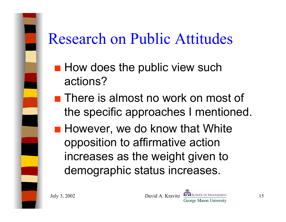### Research on Public Attitudes

- $\blacksquare$  How does the public view such actions?
- $\blacksquare$  There is almost no work on most of the specific approaches I mentioned.
- **However, we do know that White** opposition to affirmative action increases as the weight given to demographic status increases.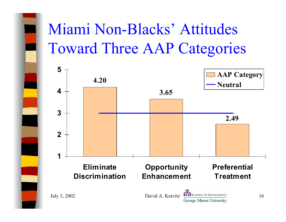# Miami Non-Blacks' Attitudes Toward Three AAP Categories

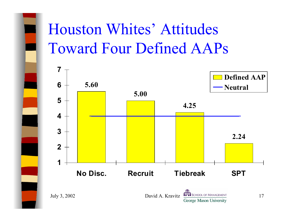# Houston Whites' Attitudes Toward Four Defined AAPs

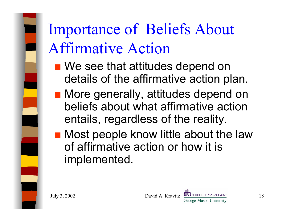Importance of Beliefs About Affirmative Action

- $\blacksquare$  We see that attitudes depend on details of the affirmative action plan.
- $\blacksquare$  More generally, attitudes depend on beliefs about what affirmative action entails, regardless of the reality.
- an<br>Ma Most people know little about the law of affirmative action or how it is implemented.

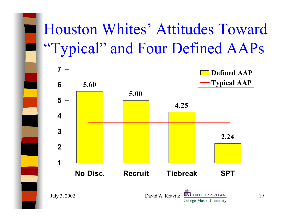# Houston Whites' Attitudes Toward "Typical" and Four Defined AAPs

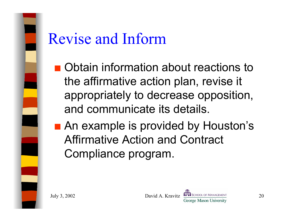

#### Revise and Inform

- Obtain information about reactions to the affirmative action plan, revise it appropriately to decrease opposition, and communicate its details.
- An example is provided by Houston's Affirmative Action and Contract Compliance program.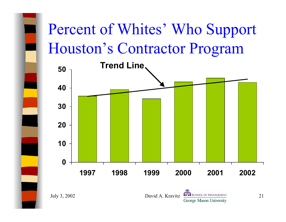# Percent of Whites' Who Support Houston's Contractor Program



July 3, 2002 David A. Kravitz David A. Kravitz Christian David A. Kravitz Christian David A. Kravitz Christian Diversity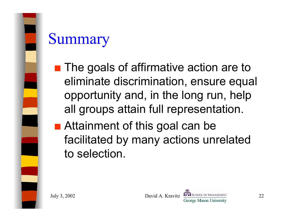

#### **Summary**

- $\blacksquare$  The goals of affirmative action are to eliminate discrimination, ensure equal opportunity and, in the long run, help all groups attain full representation.
- **Attainment of this goal can be** facilitated by many actions unrelated to selection.

July 3, 2002 David A. Kravitz David B. Alexandro David B. Alexandro David A. Kravitz George Mason University